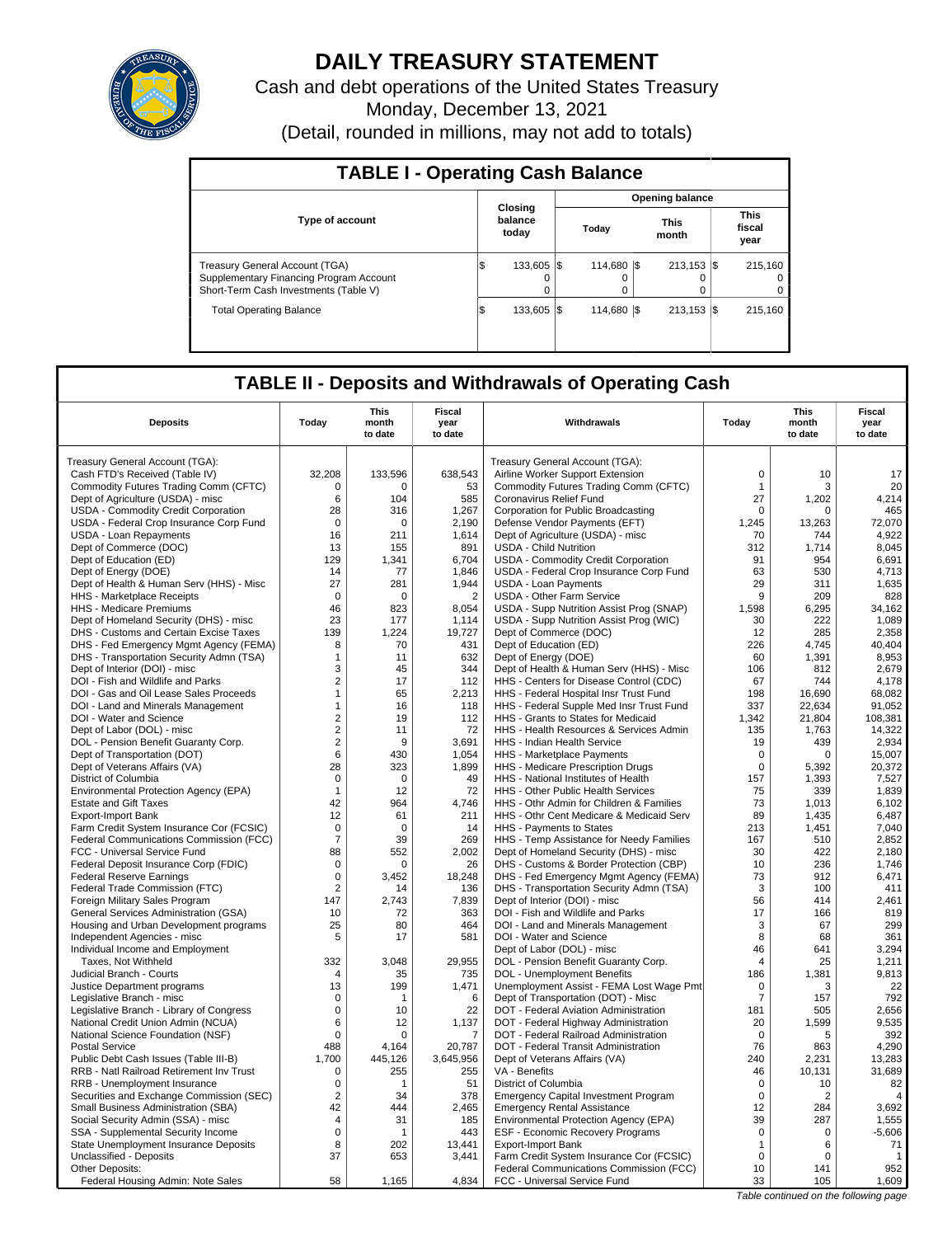

# **DAILY TREASURY STATEMENT**

Cash and debt operations of the United States Treasury Monday, December 13, 2021 (Detail, rounded in millions, may not add to totals)

| <b>TABLE I - Operating Cash Balance</b>                                                                                   |     |                             |  |                  |  |                        |  |                               |  |  |  |
|---------------------------------------------------------------------------------------------------------------------------|-----|-----------------------------|--|------------------|--|------------------------|--|-------------------------------|--|--|--|
|                                                                                                                           |     |                             |  |                  |  | <b>Opening balance</b> |  |                               |  |  |  |
| <b>Type of account</b>                                                                                                    |     | Closing<br>balance<br>today |  | Today            |  | <b>This</b><br>month   |  | <b>This</b><br>fiscal<br>year |  |  |  |
| <b>Treasury General Account (TGA)</b><br>Supplementary Financing Program Account<br>Short-Term Cash Investments (Table V) | Φ   | 133.605 \\<br>0             |  | 114.680 \\$<br>0 |  | $213.153$ $\sqrt{5}$   |  | 215.160<br>0<br>0             |  |  |  |
| <b>Total Operating Balance</b>                                                                                            | 1\$ | 133.605 \\                  |  | 114.680 \\$      |  | $213.153$ S            |  | 215.160                       |  |  |  |

## **TABLE II - Deposits and Withdrawals of Operating Cash**

| <b>Deposits</b>                                                      | Today           | <b>This</b><br>month<br>to date | <b>Fiscal</b><br>year<br>to date | Withdrawals                                                                    | Today          | <b>This</b><br>month<br>to date | <b>Fiscal</b><br>year<br>to date      |
|----------------------------------------------------------------------|-----------------|---------------------------------|----------------------------------|--------------------------------------------------------------------------------|----------------|---------------------------------|---------------------------------------|
| Treasury General Account (TGA):                                      |                 |                                 |                                  | Treasury General Account (TGA):                                                |                |                                 |                                       |
| Cash FTD's Received (Table IV)                                       | 32,208          | 133,596                         | 638,543                          | Airline Worker Support Extension                                               | $\mathsf 0$    | 10                              | 17                                    |
| Commodity Futures Trading Comm (CFTC)                                | 0               | 0                               | 53                               | Commodity Futures Trading Comm (CFTC)                                          | $\mathbf{1}$   | 3                               | 20                                    |
| Dept of Agriculture (USDA) - misc                                    | 6               | 104                             | 585                              | Coronavirus Relief Fund                                                        | 27             | 1.202                           | 4,214                                 |
| USDA - Commodity Credit Corporation                                  | 28              | 316                             | 1.267                            | Corporation for Public Broadcasting                                            | $\mathbf 0$    | $\Omega$                        | 465                                   |
| USDA - Federal Crop Insurance Corp Fund                              | $\mathbf 0$     | 0                               | 2,190                            | Defense Vendor Payments (EFT)                                                  | 1,245          | 13,263                          | 72,070                                |
| <b>USDA - Loan Repayments</b>                                        | 16              | 211                             | 1.614                            | Dept of Agriculture (USDA) - misc                                              | 70             | 744                             | 4.922                                 |
| Dept of Commerce (DOC)                                               | 13              | 155                             | 891                              | <b>USDA - Child Nutrition</b>                                                  | 312            | 1,714                           | 8,045                                 |
| Dept of Education (ED)                                               | 129             | 1,341                           | 6,704                            | USDA - Commodity Credit Corporation                                            | 91             | 954                             | 6,691                                 |
| Dept of Energy (DOE)                                                 | 14              | 77                              | 1,846                            | USDA - Federal Crop Insurance Corp Fund                                        | 63             | 530                             | 4,713                                 |
| Dept of Health & Human Serv (HHS) - Misc                             | 27              | 281                             | 1,944                            | <b>USDA - Loan Payments</b>                                                    | 29             | 311                             | 1,635                                 |
| <b>HHS</b> - Marketplace Receipts                                    | $\mathbf 0$     | $\mathbf 0$                     | $\overline{2}$                   | <b>USDA - Other Farm Service</b>                                               | 9              | 209                             | 828                                   |
| HHS - Medicare Premiums                                              | 46              | 823                             | 8,054                            | USDA - Supp Nutrition Assist Prog (SNAP)                                       | 1,598          | 6,295                           | 34,162                                |
| Dept of Homeland Security (DHS) - misc                               | 23              | 177                             | 1,114                            | USDA - Supp Nutrition Assist Prog (WIC)                                        | 30             | 222                             | 1.089                                 |
| DHS - Customs and Certain Excise Taxes                               | 139             | 1,224                           | 19,727                           | Dept of Commerce (DOC)                                                         | 12             | 285                             | 2,358                                 |
| DHS - Fed Emergency Mgmt Agency (FEMA)                               | 8               | 70                              | 431                              | Dept of Education (ED)                                                         | 226            | 4,745                           | 40,404                                |
| DHS - Transportation Security Admn (TSA)                             | $\mathbf{1}$    | 11                              | 632                              | Dept of Energy (DOE)                                                           | 60             | 1,391                           | 8,953                                 |
| Dept of Interior (DOI) - misc                                        | 3               | 45                              | 344                              | Dept of Health & Human Serv (HHS) - Misc                                       | 106            | 812                             | 2,679                                 |
| DOI - Fish and Wildlife and Parks                                    | $\overline{2}$  | 17                              | 112                              | HHS - Centers for Disease Control (CDC)                                        | 67             | 744                             | 4,178                                 |
| DOI - Gas and Oil Lease Sales Proceeds                               | $\mathbf{1}$    | 65                              | 2.213                            | HHS - Federal Hospital Insr Trust Fund                                         | 198            | 16.690                          | 68.082                                |
| DOI - Land and Minerals Management                                   | $\mathbf{1}$    | 16                              | 118                              | HHS - Federal Supple Med Insr Trust Fund                                       | 337            | 22,634                          | 91,052                                |
| DOI - Water and Science                                              | $\overline{2}$  | 19                              | 112<br>72                        | HHS - Grants to States for Medicaid<br>HHS - Health Resources & Services Admin | 1,342<br>135   | 21,804                          | 108,381                               |
| Dept of Labor (DOL) - misc                                           | $\mathbf 2$     | 11<br>9                         | 3.691                            | <b>HHS - Indian Health Service</b>                                             |                | 1,763                           | 14,322<br>2,934                       |
| DOL - Pension Benefit Guaranty Corp.<br>Dept of Transportation (DOT) | $\sqrt{2}$<br>6 | 430                             | 1,054                            | HHS - Marketplace Payments                                                     | 19<br>0        | 439<br>0                        | 15,007                                |
| Dept of Veterans Affairs (VA)                                        | 28              | 323                             | 1.899                            | HHS - Medicare Prescription Drugs                                              | $\Omega$       | 5,392                           | 20,372                                |
| District of Columbia                                                 | $\mathbf 0$     | $\mathbf 0$                     | 49                               | HHS - National Institutes of Health                                            | 157            | 1,393                           | 7,527                                 |
| Environmental Protection Agency (EPA)                                | $\mathbf{1}$    | 12                              | 72                               | HHS - Other Public Health Services                                             | 75             | 339                             | 1,839                                 |
| <b>Estate and Gift Taxes</b>                                         | 42              | 964                             | 4,746                            | HHS - Othr Admin for Children & Families                                       | 73             | 1,013                           | 6,102                                 |
| <b>Export-Import Bank</b>                                            | 12              | 61                              | 211                              | HHS - Othr Cent Medicare & Medicaid Serv                                       | 89             | 1,435                           | 6,487                                 |
| Farm Credit System Insurance Cor (FCSIC)                             | $\mathsf 0$     | $\mathbf 0$                     | 14                               | HHS - Payments to States                                                       | 213            | 1,451                           | 7,040                                 |
| Federal Communications Commission (FCC)                              | $\overline{7}$  | 39                              | 269                              | HHS - Temp Assistance for Needy Families                                       | 167            | 510                             | 2,852                                 |
| FCC - Universal Service Fund                                         | 88              | 552                             | 2.002                            | Dept of Homeland Security (DHS) - misc                                         | 30             | 422                             | 2.180                                 |
| Federal Deposit Insurance Corp (FDIC)                                | $\mathbf 0$     | $\Omega$                        | 26                               | DHS - Customs & Border Protection (CBP)                                        | 10             | 236                             | 1,746                                 |
| <b>Federal Reserve Earnings</b>                                      | 0               | 3,452                           | 18,248                           | DHS - Fed Emergency Mgmt Agency (FEMA)                                         | 73             | 912                             | 6,471                                 |
| Federal Trade Commission (FTC)                                       | $\overline{2}$  | 14                              | 136                              | DHS - Transportation Security Admn (TSA)                                       | 3              | 100                             | 411                                   |
| Foreign Military Sales Program                                       | 147             | 2.743                           | 7,839                            | Dept of Interior (DOI) - misc                                                  | 56             | 414                             | 2.461                                 |
| General Services Administration (GSA)                                | 10              | 72                              | 363                              | DOI - Fish and Wildlife and Parks                                              | 17             | 166                             | 819                                   |
| Housing and Urban Development programs                               | 25              | 80                              | 464                              | DOI - Land and Minerals Management                                             | 3              | 67                              | 299                                   |
| Independent Agencies - misc                                          | 5               | 17                              | 581                              | DOI - Water and Science                                                        | 8              | 68                              | 361                                   |
| Individual Income and Employment                                     |                 |                                 |                                  | Dept of Labor (DOL) - misc                                                     | 46             | 641                             | 3,294                                 |
| Taxes, Not Withheld                                                  | 332             | 3.048                           | 29,955                           | DOL - Pension Benefit Guaranty Corp.                                           | $\overline{4}$ | 25                              | 1,211                                 |
| Judicial Branch - Courts                                             | $\overline{4}$  | 35                              | 735                              | <b>DOL</b> - Unemployment Benefits                                             | 186            | 1,381                           | 9,813                                 |
| Justice Department programs                                          | 13              | 199                             | 1,471                            | Unemployment Assist - FEMA Lost Wage Pmt                                       | $\mathbf 0$    | 3                               | 22                                    |
| Legislative Branch - misc                                            | $\Omega$        | 1                               | 6                                | Dept of Transportation (DOT) - Misc                                            | 7              | 157                             | 792                                   |
| Legislative Branch - Library of Congress                             | $\mathbf 0$     | 10                              | 22                               | DOT - Federal Aviation Administration                                          | 181            | 505                             | 2,656<br>9,535                        |
| National Credit Union Admin (NCUA)                                   | 6               | 12<br>$\Omega$                  | 1,137                            | DOT - Federal Highway Administration<br>DOT - Federal Railroad Administration  | 20<br>0        | 1,599                           | 392                                   |
| National Science Foundation (NSF)<br><b>Postal Service</b>           | 0<br>488        | 4.164                           | 7<br>20,787                      | DOT - Federal Transit Administration                                           | 76             | 5<br>863                        | 4,290                                 |
| Public Debt Cash Issues (Table III-B)                                | 1,700           | 445,126                         | 3,645,956                        | Dept of Veterans Affairs (VA)                                                  | 240            | 2,231                           | 13,283                                |
| RRB - Natl Railroad Retirement Inv Trust                             | $\Omega$        | 255                             | 255                              | VA - Benefits                                                                  | 46             | 10,131                          | 31,689                                |
| RRB - Unemployment Insurance                                         | 0               | 1                               | 51                               | District of Columbia                                                           | 0              | 10                              | 82                                    |
| Securities and Exchange Commission (SEC)                             | $\overline{2}$  | 34                              | 378                              | <b>Emergency Capital Investment Program</b>                                    | $\mathbf 0$    | $\overline{2}$                  | $\overline{4}$                        |
| Small Business Administration (SBA)                                  | 42              | 444                             | 2,465                            | <b>Emergency Rental Assistance</b>                                             | 12             | 284                             | 3,692                                 |
| Social Security Admin (SSA) - misc                                   | 4               | 31                              | 185                              | Environmental Protection Agency (EPA)                                          | 39             | 287                             | 1,555                                 |
| SSA - Supplemental Security Income                                   | $\mathbf 0$     | 1                               | 443                              | <b>ESF - Economic Recovery Programs</b>                                        | $\mathbf 0$    | $\mathbf 0$                     | $-5,606$                              |
| State Unemployment Insurance Deposits                                | 8               | 202                             | 13,441                           | <b>Export-Import Bank</b>                                                      | $\mathbf{1}$   | 6                               | 71                                    |
| Unclassified - Deposits                                              | 37              | 653                             | 3,441                            | Farm Credit System Insurance Cor (FCSIC)                                       | $\Omega$       | $\Omega$                        | $\mathbf{1}$                          |
| Other Deposits:                                                      |                 |                                 |                                  | Federal Communications Commission (FCC)                                        | 10             | 141                             | 952                                   |
| Federal Housing Admin: Note Sales                                    | 58              | 1,165                           | 4.834                            | FCC - Universal Service Fund                                                   | 33             | 105                             | 1,609                                 |
|                                                                      |                 |                                 |                                  |                                                                                |                |                                 | Table continued on the following page |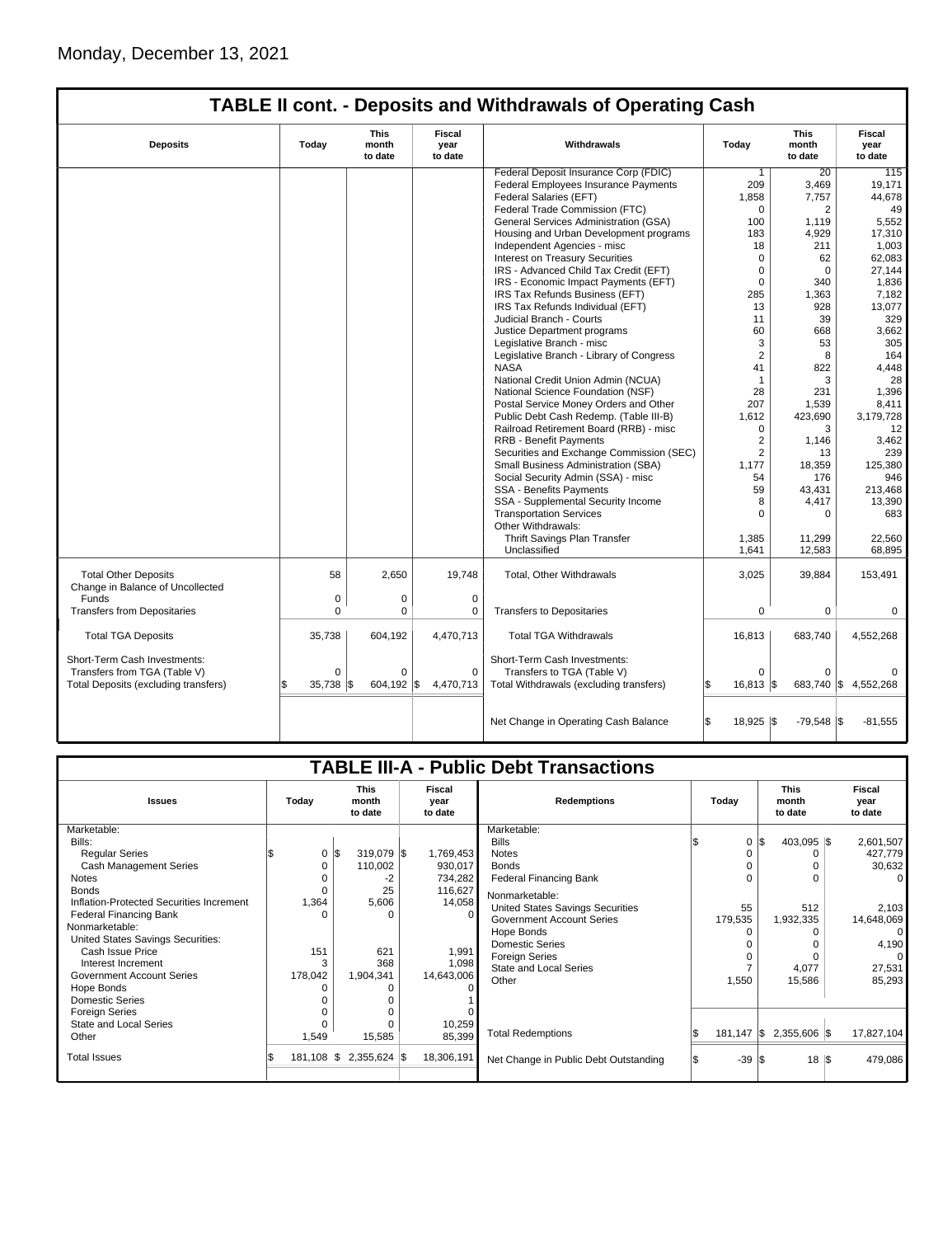|                                      |          |                                 |                           | <b>TABLE II cont. - Deposits and Withdrawals of Operating Cash</b> |                       |                                 |                                  |
|--------------------------------------|----------|---------------------------------|---------------------------|--------------------------------------------------------------------|-----------------------|---------------------------------|----------------------------------|
| <b>Deposits</b>                      | Today    | <b>This</b><br>month<br>to date | Fiscal<br>year<br>to date | Withdrawals                                                        | Today                 | <b>This</b><br>month<br>to date | <b>Fiscal</b><br>year<br>to date |
|                                      |          |                                 |                           | Federal Deposit Insurance Corp (FDIC)                              | 1                     | 20                              | 115                              |
|                                      |          |                                 |                           | Federal Employees Insurance Payments                               | 209                   | 3,469                           | 19,171                           |
|                                      |          |                                 |                           | Federal Salaries (EFT)                                             | 1.858                 | 7.757                           | 44.678                           |
|                                      |          |                                 |                           | Federal Trade Commission (FTC)                                     | $\Omega$              | 2                               | 49                               |
|                                      |          |                                 |                           | General Services Administration (GSA)                              | 100                   | 1,119                           | 5,552                            |
|                                      |          |                                 |                           | Housing and Urban Development programs                             | 183                   | 4,929                           | 17,310                           |
|                                      |          |                                 |                           | Independent Agencies - misc                                        | 18                    | 211                             | 1,003                            |
|                                      |          |                                 |                           | <b>Interest on Treasury Securities</b>                             | $\mathbf 0$           | 62                              | 62,083                           |
|                                      |          |                                 |                           | IRS - Advanced Child Tax Credit (EFT)                              | $\mathbf 0$           | $\Omega$                        | 27.144                           |
|                                      |          |                                 |                           | IRS - Economic Impact Payments (EFT)                               | $\mathbf 0$           | 340                             | 1,836                            |
|                                      |          |                                 |                           | IRS Tax Refunds Business (EFT)                                     | 285                   | 1.363                           | 7.182                            |
|                                      |          |                                 |                           | IRS Tax Refunds Individual (EFT)                                   | 13                    | 928                             | 13,077                           |
|                                      |          |                                 |                           | Judicial Branch - Courts                                           | 11                    | 39                              | 329                              |
|                                      |          |                                 |                           | Justice Department programs                                        | 60                    | 668                             | 3.662                            |
|                                      |          |                                 |                           | Legislative Branch - misc                                          | 3                     | 53                              | 305                              |
|                                      |          |                                 |                           | Legislative Branch - Library of Congress                           | $\overline{2}$        | 8                               | 164                              |
|                                      |          |                                 |                           | <b>NASA</b>                                                        | 41                    | 822                             | 4,448                            |
|                                      |          |                                 |                           | National Credit Union Admin (NCUA)                                 | $\mathbf{1}$          | 3                               | 28                               |
|                                      |          |                                 |                           | National Science Foundation (NSF)                                  | 28                    | 231                             | 1.396                            |
|                                      |          |                                 |                           | Postal Service Money Orders and Other                              | 207                   | 1.539                           | 8,411                            |
|                                      |          |                                 |                           | Public Debt Cash Redemp. (Table III-B)                             | 1,612                 | 423,690                         | 3,179,728                        |
|                                      |          |                                 |                           | Railroad Retirement Board (RRB) - misc                             | $\Omega$              | 3                               | 12                               |
|                                      |          |                                 |                           | <b>RRB - Benefit Payments</b>                                      | $\overline{2}$        | 1,146                           | 3.462                            |
|                                      |          |                                 |                           | Securities and Exchange Commission (SEC)                           | $\overline{2}$        | 13                              | 239                              |
|                                      |          |                                 |                           | Small Business Administration (SBA)                                | 1,177                 | 18,359                          | 125,380                          |
|                                      |          |                                 |                           | Social Security Admin (SSA) - misc                                 | 54                    | 176                             | 946                              |
|                                      |          |                                 |                           | <b>SSA - Benefits Payments</b>                                     | 59                    | 43.431                          | 213.468                          |
|                                      |          |                                 |                           | SSA - Supplemental Security Income                                 | 8                     | 4,417                           | 13,390                           |
|                                      |          |                                 |                           | <b>Transportation Services</b>                                     | 0                     | 0                               | 683                              |
|                                      |          |                                 |                           | Other Withdrawals:                                                 |                       |                                 |                                  |
|                                      |          |                                 |                           | Thrift Savings Plan Transfer                                       | 1,385                 | 11,299                          | 22,560                           |
|                                      |          |                                 |                           | Unclassified                                                       | 1,641                 | 12,583                          | 68,895                           |
|                                      |          |                                 |                           |                                                                    |                       |                                 |                                  |
| <b>Total Other Deposits</b>          | 58       | 2,650                           | 19,748                    | Total, Other Withdrawals                                           | 3,025                 | 39,884                          | 153,491                          |
| Change in Balance of Uncollected     |          |                                 |                           |                                                                    |                       |                                 |                                  |
| <b>Funds</b>                         | 0        | 0                               | $\mathbf 0$               |                                                                    |                       |                                 |                                  |
| <b>Transfers from Depositaries</b>   | $\Omega$ | $\mathbf 0$                     | $\mathbf 0$               | <b>Transfers to Depositaries</b>                                   | $\mathbf 0$           | $\Omega$                        | $\mathbf 0$                      |
|                                      |          |                                 |                           |                                                                    |                       |                                 |                                  |
| <b>Total TGA Deposits</b>            | 35,738   | 604,192                         | 4,470,713                 | <b>Total TGA Withdrawals</b>                                       | 16,813                | 683,740                         | 4,552,268                        |
|                                      |          |                                 |                           |                                                                    |                       |                                 |                                  |
| Short-Term Cash Investments:         |          |                                 |                           | Short-Term Cash Investments:                                       |                       |                                 |                                  |
| Transfers from TGA (Table V)         | $\Omega$ | $\Omega$                        | $\Omega$                  | Transfers to TGA (Table V)                                         | $\Omega$              | $\Omega$                        | $\Omega$                         |
| Total Deposits (excluding transfers) | 35.738   | 604.192                         | 4.470.713<br>l\$          | Total Withdrawals (excluding transfers)                            | $16.813$ $\text{\AA}$ | 683.740 \$                      | 4.552.268                        |
|                                      |          |                                 |                           |                                                                    |                       |                                 |                                  |
|                                      |          |                                 |                           |                                                                    |                       |                                 |                                  |

| Net Change in Operating Cash Balance | $18,925$ \$ | $-79.548$ \\$ | -81.555 |
|--------------------------------------|-------------|---------------|---------|
|                                      |             |               |         |

|                                          |                      |          |                                 |                           | <b>TABLE III-A - Public Debt Transactions</b> |       |                  |     |                    |                |  |  |  |  |  |  |  |  |  |  |  |  |  |  |  |  |  |  |  |  |  |  |  |  |  |  |  |  |  |  |  |  |  |  |  |  |  |  |  |  |  |  |  |  |  |  |  |  |  |  |  |  |  |  |  |  |  |  |  |  |                                 |                           |
|------------------------------------------|----------------------|----------|---------------------------------|---------------------------|-----------------------------------------------|-------|------------------|-----|--------------------|----------------|--|--|--|--|--|--|--|--|--|--|--|--|--|--|--|--|--|--|--|--|--|--|--|--|--|--|--|--|--|--|--|--|--|--|--|--|--|--|--|--|--|--|--|--|--|--|--|--|--|--|--|--|--|--|--|--|--|--|--|--|---------------------------------|---------------------------|
| <b>Issues</b>                            | Today                |          | <b>This</b><br>month<br>to date | Fiscal<br>year<br>to date | <b>Redemptions</b>                            | Todav |                  |     |                    |                |  |  |  |  |  |  |  |  |  |  |  |  |  |  |  |  |  |  |  |  |  |  |  |  |  |  |  |  |  |  |  |  |  |  |  |  |  |  |  |  |  |  |  |  |  |  |  |  |  |  |  |  |  |  |  |  |  |  |  |  | <b>This</b><br>month<br>to date | Fiscal<br>year<br>to date |
| Marketable:                              |                      |          |                                 |                           | Marketable:                                   |       |                  |     |                    |                |  |  |  |  |  |  |  |  |  |  |  |  |  |  |  |  |  |  |  |  |  |  |  |  |  |  |  |  |  |  |  |  |  |  |  |  |  |  |  |  |  |  |  |  |  |  |  |  |  |  |  |  |  |  |  |  |  |  |  |  |                                 |                           |
| Bills:                                   |                      |          |                                 |                           | <b>Bills</b>                                  |       | $\Omega$         | I\$ | 403,095 \$         | 2,601,507      |  |  |  |  |  |  |  |  |  |  |  |  |  |  |  |  |  |  |  |  |  |  |  |  |  |  |  |  |  |  |  |  |  |  |  |  |  |  |  |  |  |  |  |  |  |  |  |  |  |  |  |  |  |  |  |  |  |  |  |  |                                 |                           |
| <b>Regular Series</b>                    |                      | 0<br>l\$ | 319,079 \$                      | 1,769,453                 | <b>Notes</b>                                  |       | 0                |     |                    | 427,779        |  |  |  |  |  |  |  |  |  |  |  |  |  |  |  |  |  |  |  |  |  |  |  |  |  |  |  |  |  |  |  |  |  |  |  |  |  |  |  |  |  |  |  |  |  |  |  |  |  |  |  |  |  |  |  |  |  |  |  |  |                                 |                           |
| Cash Management Series                   |                      | 0        | 110,002                         | 930,017                   | <b>Bonds</b>                                  |       |                  |     |                    | 30,632         |  |  |  |  |  |  |  |  |  |  |  |  |  |  |  |  |  |  |  |  |  |  |  |  |  |  |  |  |  |  |  |  |  |  |  |  |  |  |  |  |  |  |  |  |  |  |  |  |  |  |  |  |  |  |  |  |  |  |  |  |                                 |                           |
| Notes                                    |                      |          | -2                              | 734,282                   | <b>Federal Financing Bank</b>                 |       | $\Omega$         |     |                    | $\Omega$       |  |  |  |  |  |  |  |  |  |  |  |  |  |  |  |  |  |  |  |  |  |  |  |  |  |  |  |  |  |  |  |  |  |  |  |  |  |  |  |  |  |  |  |  |  |  |  |  |  |  |  |  |  |  |  |  |  |  |  |  |                                 |                           |
| <b>Bonds</b>                             |                      | U        | 25                              | 116,627                   | Nonmarketable:                                |       |                  |     |                    |                |  |  |  |  |  |  |  |  |  |  |  |  |  |  |  |  |  |  |  |  |  |  |  |  |  |  |  |  |  |  |  |  |  |  |  |  |  |  |  |  |  |  |  |  |  |  |  |  |  |  |  |  |  |  |  |  |  |  |  |  |                                 |                           |
| Inflation-Protected Securities Increment | 1,364                |          | 5,606                           | 14,058                    | United States Savings Securities              |       | 55               |     | 512                | 2,103          |  |  |  |  |  |  |  |  |  |  |  |  |  |  |  |  |  |  |  |  |  |  |  |  |  |  |  |  |  |  |  |  |  |  |  |  |  |  |  |  |  |  |  |  |  |  |  |  |  |  |  |  |  |  |  |  |  |  |  |  |                                 |                           |
| <b>Federal Financing Bank</b>            |                      | n        | $\Omega$                        |                           | <b>Government Account Series</b>              |       | 179,535          |     | 1,932,335          | 14,648,069     |  |  |  |  |  |  |  |  |  |  |  |  |  |  |  |  |  |  |  |  |  |  |  |  |  |  |  |  |  |  |  |  |  |  |  |  |  |  |  |  |  |  |  |  |  |  |  |  |  |  |  |  |  |  |  |  |  |  |  |  |                                 |                           |
| Nonmarketable:                           |                      |          |                                 |                           | Hope Bonds                                    |       | O                |     |                    | $\overline{0}$ |  |  |  |  |  |  |  |  |  |  |  |  |  |  |  |  |  |  |  |  |  |  |  |  |  |  |  |  |  |  |  |  |  |  |  |  |  |  |  |  |  |  |  |  |  |  |  |  |  |  |  |  |  |  |  |  |  |  |  |  |                                 |                           |
| United States Savings Securities:        |                      |          |                                 |                           | <b>Domestic Series</b>                        |       |                  |     |                    | 4,190          |  |  |  |  |  |  |  |  |  |  |  |  |  |  |  |  |  |  |  |  |  |  |  |  |  |  |  |  |  |  |  |  |  |  |  |  |  |  |  |  |  |  |  |  |  |  |  |  |  |  |  |  |  |  |  |  |  |  |  |  |                                 |                           |
| Cash Issue Price                         | 151                  |          | 621                             | 1,991                     | <b>Foreign Series</b>                         |       | $\Omega$         |     |                    | 0              |  |  |  |  |  |  |  |  |  |  |  |  |  |  |  |  |  |  |  |  |  |  |  |  |  |  |  |  |  |  |  |  |  |  |  |  |  |  |  |  |  |  |  |  |  |  |  |  |  |  |  |  |  |  |  |  |  |  |  |  |                                 |                           |
| Interest Increment                       |                      | 3        | 368                             | 1,098                     | <b>State and Local Series</b>                 |       |                  |     | 4,077              | 27,531         |  |  |  |  |  |  |  |  |  |  |  |  |  |  |  |  |  |  |  |  |  |  |  |  |  |  |  |  |  |  |  |  |  |  |  |  |  |  |  |  |  |  |  |  |  |  |  |  |  |  |  |  |  |  |  |  |  |  |  |  |                                 |                           |
| <b>Government Account Series</b>         | 178,042              |          | 1,904,341                       | 14,643,006                | Other                                         |       | 1,550            |     | 15,586             | 85,293         |  |  |  |  |  |  |  |  |  |  |  |  |  |  |  |  |  |  |  |  |  |  |  |  |  |  |  |  |  |  |  |  |  |  |  |  |  |  |  |  |  |  |  |  |  |  |  |  |  |  |  |  |  |  |  |  |  |  |  |  |                                 |                           |
| Hope Bonds                               |                      |          |                                 |                           |                                               |       |                  |     |                    |                |  |  |  |  |  |  |  |  |  |  |  |  |  |  |  |  |  |  |  |  |  |  |  |  |  |  |  |  |  |  |  |  |  |  |  |  |  |  |  |  |  |  |  |  |  |  |  |  |  |  |  |  |  |  |  |  |  |  |  |  |                                 |                           |
| <b>Domestic Series</b>                   |                      |          |                                 |                           |                                               |       |                  |     |                    |                |  |  |  |  |  |  |  |  |  |  |  |  |  |  |  |  |  |  |  |  |  |  |  |  |  |  |  |  |  |  |  |  |  |  |  |  |  |  |  |  |  |  |  |  |  |  |  |  |  |  |  |  |  |  |  |  |  |  |  |  |                                 |                           |
| <b>Foreign Series</b>                    |                      |          |                                 |                           |                                               |       |                  |     |                    |                |  |  |  |  |  |  |  |  |  |  |  |  |  |  |  |  |  |  |  |  |  |  |  |  |  |  |  |  |  |  |  |  |  |  |  |  |  |  |  |  |  |  |  |  |  |  |  |  |  |  |  |  |  |  |  |  |  |  |  |  |                                 |                           |
| State and Local Series                   |                      |          |                                 | 10,259                    |                                               |       |                  |     |                    |                |  |  |  |  |  |  |  |  |  |  |  |  |  |  |  |  |  |  |  |  |  |  |  |  |  |  |  |  |  |  |  |  |  |  |  |  |  |  |  |  |  |  |  |  |  |  |  |  |  |  |  |  |  |  |  |  |  |  |  |  |                                 |                           |
| Other                                    | 1,549                |          | 15,585                          | 85,399                    | <b>Total Redemptions</b>                      |       | $181,147$ \$     |     | 2,355,606 \$       | 17,827,104     |  |  |  |  |  |  |  |  |  |  |  |  |  |  |  |  |  |  |  |  |  |  |  |  |  |  |  |  |  |  |  |  |  |  |  |  |  |  |  |  |  |  |  |  |  |  |  |  |  |  |  |  |  |  |  |  |  |  |  |  |                                 |                           |
| <b>Total Issues</b>                      | $181,108$ $\sqrt{5}$ |          | $2,355,624$ \$                  | 18,306,191                | Net Change in Public Debt Outstanding         |       | $-39$ $\sqrt{3}$ |     | $18 \text{ }  $ \$ | 479,086        |  |  |  |  |  |  |  |  |  |  |  |  |  |  |  |  |  |  |  |  |  |  |  |  |  |  |  |  |  |  |  |  |  |  |  |  |  |  |  |  |  |  |  |  |  |  |  |  |  |  |  |  |  |  |  |  |  |  |  |  |                                 |                           |
|                                          |                      |          |                                 |                           |                                               |       |                  |     |                    |                |  |  |  |  |  |  |  |  |  |  |  |  |  |  |  |  |  |  |  |  |  |  |  |  |  |  |  |  |  |  |  |  |  |  |  |  |  |  |  |  |  |  |  |  |  |  |  |  |  |  |  |  |  |  |  |  |  |  |  |  |                                 |                           |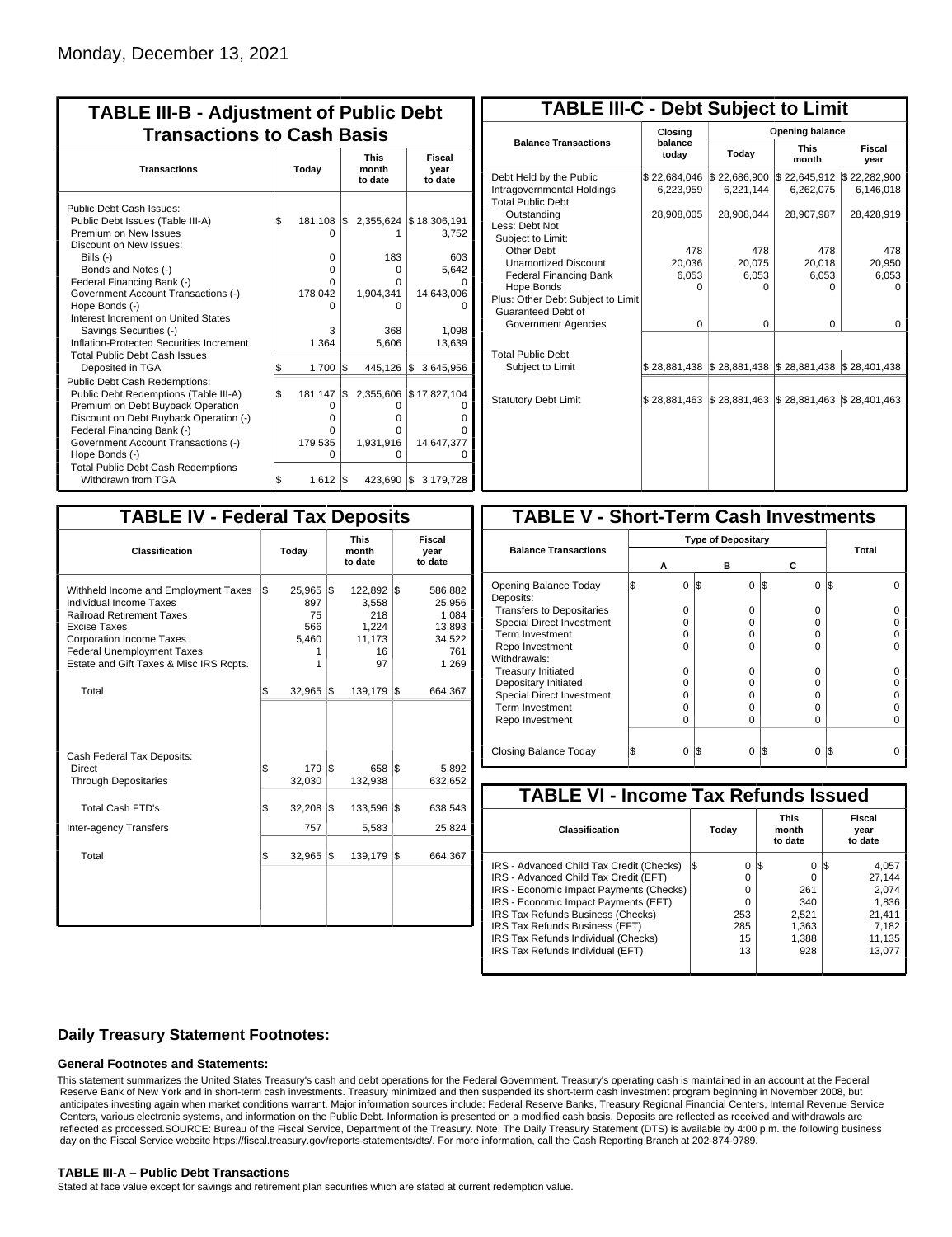| <b>TABLE III-B - Adjustment of Public Debt</b><br><b>Transactions to Cash Basis</b>                                                                                                                                                                                                |           |                                                                 |            |                                               |                                                               |  |  |  |  |  |
|------------------------------------------------------------------------------------------------------------------------------------------------------------------------------------------------------------------------------------------------------------------------------------|-----------|-----------------------------------------------------------------|------------|-----------------------------------------------|---------------------------------------------------------------|--|--|--|--|--|
| <b>Transactions</b>                                                                                                                                                                                                                                                                |           | Today                                                           |            | <b>This</b><br>month<br>to date               | Fiscal<br>year<br>to date                                     |  |  |  |  |  |
| Public Debt Cash Issues:<br>Public Debt Issues (Table III-A)<br>Premium on New Issues<br>Discount on New Issues:<br>Bills (-)<br>Bonds and Notes (-)<br>Federal Financing Bank (-)<br>Government Account Transactions (-)<br>Hope Bonds (-)<br>Interest Increment on United States | l\$       | $181,108$ $\sqrt{5}$<br>$\Omega$<br>0<br>0<br>0<br>178,042<br>3 |            | 183<br>$\Omega$<br>O<br>1,904,341<br>n<br>368 | 2,355,624 \$18,306,191<br>3,752<br>603<br>5,642<br>14,643,006 |  |  |  |  |  |
| Savings Securities (-)<br>Inflation-Protected Securities Increment<br><b>Total Public Debt Cash Issues</b>                                                                                                                                                                         |           | 1,364                                                           |            | 5,606                                         | 1,098<br>13,639                                               |  |  |  |  |  |
| Deposited in TGA<br><b>Public Debt Cash Redemptions:</b><br>Public Debt Redemptions (Table III-A)<br>Premium on Debt Buyback Operation<br>Discount on Debt Buyback Operation (-)<br>Federal Financing Bank (-)<br>Government Account Transactions (-)<br>Hope Bonds (-)            | \$<br>l\$ | 1,700<br>181,147<br>Ο<br>o<br>0<br>179,535<br>O                 | l\$<br>I\$ | 445,126 \$<br>O<br>o<br>o<br>1,931,916<br>O   | 3,645,956<br>2,355,606 \$17,827,104<br>14,647,377             |  |  |  |  |  |
| <b>Total Public Debt Cash Redemptions</b><br>Withdrawn from TGA                                                                                                                                                                                                                    | \$        | $1,612$ $\sqrt{5}$                                              |            | 423,690 \$                                    | 3,179,728                                                     |  |  |  |  |  |

| <b>TABLE III-C - Debt Subject to Limit</b>                                        |                           |                           |                           |                           |
|-----------------------------------------------------------------------------------|---------------------------|---------------------------|---------------------------|---------------------------|
|                                                                                   | Closina                   |                           | Opening balance           |                           |
| <b>Balance Transactions</b>                                                       | balance<br>today          | Today                     | <b>This</b><br>month      | Fiscal<br>year            |
| Debt Held by the Public<br>Intragovernmental Holdings<br><b>Total Public Debt</b> | \$22,684,046<br>6,223,959 | \$22,686,900<br>6,221,144 | \$22,645,912<br>6,262,075 | \$22,282,900<br>6,146,018 |
| Outstanding<br>Less: Debt Not<br>Subject to Limit:                                | 28,908,005                | 28,908,044                | 28,907,987                | 28,428,919                |
| Other Debt                                                                        | 478                       | 478                       | 478                       | 478                       |
| <b>Unamortized Discount</b>                                                       | 20.036                    | 20.075                    | 20,018                    | 20,950                    |
| <b>Federal Financing Bank</b>                                                     | 6,053                     | 6,053                     | 6,053                     | 6,053                     |
| Hope Bonds                                                                        | O                         | O                         | n                         | O                         |
| Plus: Other Debt Subject to Limit<br>Guaranteed Debt of                           |                           |                           |                           |                           |
| Government Agencies                                                               | $\Omega$                  | $\Omega$                  | $\Omega$                  | 0                         |
| <b>Total Public Debt</b><br>Subject to Limit                                      | \$28,881,438              | \$28,881,438              | \$28,881,438              | \$28,401,438              |
|                                                                                   |                           |                           |                           |                           |
| <b>Statutory Debt Limit</b>                                                       | \$28,881,463              | \$28,881,463              | \$28,881,463              | \$28,401,463              |
|                                                                                   |                           |                           |                           |                           |

| <b>TABLE IV - Federal Tax Deposits</b>                                                                                                                                                                                                        |     |                                               |     |                                                        |     |                                                                |
|-----------------------------------------------------------------------------------------------------------------------------------------------------------------------------------------------------------------------------------------------|-----|-----------------------------------------------|-----|--------------------------------------------------------|-----|----------------------------------------------------------------|
| <b>Classification</b>                                                                                                                                                                                                                         |     | Today                                         |     | <b>This</b><br>month<br>to date                        |     | Fiscal<br>year<br>to date                                      |
| Withheld Income and Employment Taxes<br>Individual Income Taxes<br><b>Railroad Retirement Taxes</b><br><b>Excise Taxes</b><br><b>Corporation Income Taxes</b><br><b>Federal Unemployment Taxes</b><br>Estate and Gift Taxes & Misc IRS Rcpts. | l\$ | 25,965<br>897<br>75<br>566<br>5,460<br>1<br>1 | l\$ | 122,892<br>3,558<br>218<br>1,224<br>11,173<br>16<br>97 | l\$ | 586,882<br>25,956<br>1,084<br>13,893<br>34,522<br>761<br>1,269 |
| Total                                                                                                                                                                                                                                         | \$  | 32,965                                        | 1\$ | 139,179                                                | 1\$ | 664,367                                                        |
| Cash Federal Tax Deposits:<br><b>Direct</b><br><b>Through Depositaries</b>                                                                                                                                                                    | \$  | 179<br>32,030                                 | l\$ | 658<br>132,938                                         | l\$ | 5,892<br>632,652                                               |
| <b>Total Cash FTD's</b>                                                                                                                                                                                                                       | \$  | 32,208                                        | l\$ | 133,596                                                | l\$ | 638,543                                                        |
| Inter-agency Transfers<br>Total                                                                                                                                                                                                               | \$  | 757<br>32,965                                 | 1\$ | 5,583<br>139,179                                       | l\$ | 25,824<br>664,367                                              |
|                                                                                                                                                                                                                                               |     |                                               |     |                                                        |     |                                                                |

| <b>TABLE V - Short-Term Cash Investments</b> |          |                           |                 |       |  |  |  |  |  |  |  |
|----------------------------------------------|----------|---------------------------|-----------------|-------|--|--|--|--|--|--|--|
|                                              |          | <b>Type of Depositary</b> |                 |       |  |  |  |  |  |  |  |
| <b>Balance Transactions</b>                  |          |                           |                 | Total |  |  |  |  |  |  |  |
|                                              | А        | в                         | С               |       |  |  |  |  |  |  |  |
| Opening Balance Today<br>Deposits:           | 0        | I\$<br>0                  | 1\$<br>$\Omega$ | I\$   |  |  |  |  |  |  |  |
| <b>Transfers to Depositaries</b>             | O        | n                         | 0               |       |  |  |  |  |  |  |  |
| <b>Special Direct Investment</b>             | Ω        | Ω                         | 0               |       |  |  |  |  |  |  |  |
| <b>Term Investment</b>                       | O        | O                         | 0               |       |  |  |  |  |  |  |  |
| Repo Investment                              | O        | n                         | U               |       |  |  |  |  |  |  |  |
| Withdrawals:                                 |          |                           |                 |       |  |  |  |  |  |  |  |
| <b>Treasury Initiated</b>                    | O        | 0                         | 0               |       |  |  |  |  |  |  |  |
| Depositary Initiated                         | $\Omega$ | O                         | 0               |       |  |  |  |  |  |  |  |
| <b>Special Direct Investment</b>             | Ω        | Ω                         | 0               |       |  |  |  |  |  |  |  |
| <b>Term Investment</b>                       | Ω        | Ω                         | 0               |       |  |  |  |  |  |  |  |
| Repo Investment                              | O        | 0                         | 0               |       |  |  |  |  |  |  |  |
|                                              |          |                           |                 |       |  |  |  |  |  |  |  |
| Closing Balance Today                        | 0        | I\$<br>0                  | S<br>0          | I\$   |  |  |  |  |  |  |  |

| <b>TABLE VI - Income Tax Refunds Issued</b> |     |       |     |                                 |     |                           |  |  |  |  |
|---------------------------------------------|-----|-------|-----|---------------------------------|-----|---------------------------|--|--|--|--|
| <b>Classification</b>                       |     | Today |     | <b>This</b><br>month<br>to date |     | Fiscal<br>year<br>to date |  |  |  |  |
| IRS - Advanced Child Tax Credit (Checks)    | I\$ | 0     | 1\$ | $\Omega$                        | 125 | 4,057                     |  |  |  |  |
| IRS - Advanced Child Tax Credit (EFT)       |     | 0     |     | 0                               |     | 27.144                    |  |  |  |  |
| IRS - Economic Impact Payments (Checks)     |     | 0     |     | 261                             |     | 2.074                     |  |  |  |  |
| IRS - Economic Impact Payments (EFT)        |     | 0     |     | 340                             |     | 1,836                     |  |  |  |  |
| IRS Tax Refunds Business (Checks)           |     | 253   |     | 2.521                           |     | 21.411                    |  |  |  |  |
| IRS Tax Refunds Business (EFT)              |     | 285   |     | 1.363                           |     | 7.182                     |  |  |  |  |
| IRS Tax Refunds Individual (Checks)         |     | 15    |     | 1.388                           |     | 11,135                    |  |  |  |  |
| IRS Tax Refunds Individual (EFT)            |     | 13    |     | 928                             |     | 13.077                    |  |  |  |  |
|                                             |     |       |     |                                 |     |                           |  |  |  |  |

### **Daily Treasury Statement Footnotes:**

#### **General Footnotes and Statements:**

This statement summarizes the United States Treasury's cash and debt operations for the Federal Government. Treasury's operating cash is maintained in an account at the Federal Reserve Bank of New York and in short-term cash investments. Treasury minimized and then suspended its short-term cash investment program beginning in November 2008, but anticipates investing again when market conditions warrant. Major information sources include: Federal Reserve Banks, Treasury Regional Financial Centers, Internal Revenue Service Centers, various electronic systems, and information on the Public Debt. Information is presented on a modified cash basis. Deposits are reflected as received and withdrawals are reflected as processed.SOURCE: Bureau of the Fiscal Service, Department of the Treasury. Note: The Daily Treasury Statement (DTS) is available by 4:00 p.m. the following business day on the Fiscal Service website https://fiscal.treasury.gov/reports-statements/dts/. For more information, call the Cash Reporting Branch at 202-874-9789.

#### **TABLE III-A – Public Debt Transactions**

Stated at face value except for savings and retirement plan securities which are stated at current redemption value.